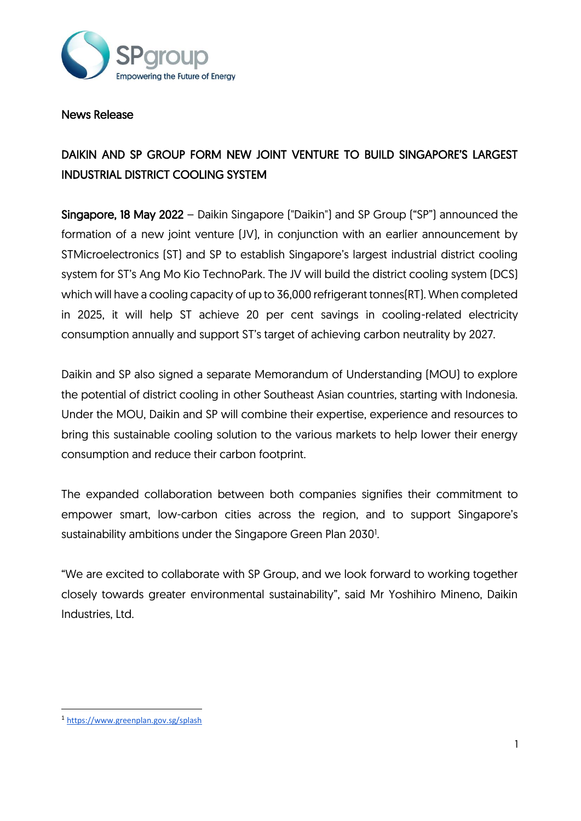

### News Release

# DAIKIN AND SP GROUP FORM NEW JOINT VENTURE TO BUILD SINGAPORE'S LARGEST INDUSTRIAL DISTRICT COOLING SYSTEM

Singapore, 18 May 2022 – Daikin Singapore ("Daikin") and SP Group ("SP") announced the formation of a new joint venture (JV), in conjunction with an earlier announcement by STMicroelectronics (ST) and SP to establish Singapore's largest industrial district cooling system for ST's Ang Mo Kio TechnoPark. The JV will build the district cooling system (DCS) which will have a cooling capacity of up to 36,000 refrigerant tonnes(RT). When completed in 2025, it will help ST achieve 20 per cent savings in cooling-related electricity consumption annually and support ST's target of achieving carbon neutrality by 2027.

Daikin and SP also signed a separate Memorandum of Understanding (MOU) to explore the potential of district cooling in other Southeast Asian countries, starting with Indonesia. Under the MOU, Daikin and SP will combine their expertise, experience and resources to bring this sustainable cooling solution to the various markets to help lower their energy consumption and reduce their carbon footprint.

The expanded collaboration between both companies signifies their commitment to empower smart, low-carbon cities across the region, and to support Singapore's sustainability ambitions under the Singapore Green Plan 2030<sup>1</sup>.

"We are excited to collaborate with SP Group, and we look forward to working together closely towards greater environmental sustainability", said Mr Yoshihiro Mineno, Daikin Industries, Ltd.

<sup>1</sup> <https://www.greenplan.gov.sg/splash>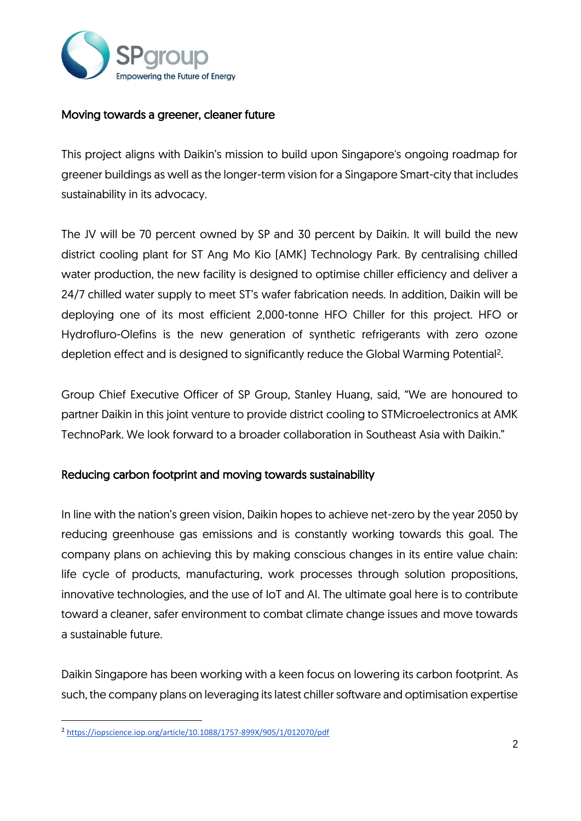

## Moving towards a greener, cleaner future

This project aligns with Daikin's mission to build upon Singapore's ongoing roadmap for greener buildings as well as the longer-term vision for a Singapore Smart-city that includes sustainability in its advocacy.

The JV will be 70 percent owned by SP and 30 percent by Daikin. It will build the new district cooling plant for ST Ang Mo Kio (AMK) Technology Park. By centralising chilled water production, the new facility is designed to optimise chiller efficiency and deliver a 24/7 chilled water supply to meet ST's wafer fabrication needs. In addition, Daikin will be deploying one of its most efficient 2,000-tonne HFO Chiller for this project. HFO or Hydrofluro-Olefins is the new generation of synthetic refrigerants with zero ozone depletion effect and is designed to significantly reduce the Global Warming Potential<sup>2</sup>.

Group Chief Executive Officer of SP Group, Stanley Huang, said, "We are honoured to partner Daikin in this joint venture to provide district cooling to STMicroelectronics at AMK TechnoPark. We look forward to a broader collaboration in Southeast Asia with Daikin."

# Reducing carbon footprint and moving towards sustainability

In line with the nation's green vision, Daikin hopes to achieve net-zero by the year 2050 by reducing greenhouse gas emissions and is constantly working towards this goal. The company plans on achieving this by making conscious changes in its entire value chain: life cycle of products, manufacturing, work processes through solution propositions, innovative technologies, and the use of IoT and AI. The ultimate goal here is to contribute toward a cleaner, safer environment to combat climate change issues and move towards a sustainable future.

Daikin Singapore has been working with a keen focus on lowering its carbon footprint. As such, the company plans on leveraging its latest chiller software and optimisation expertise

<sup>&</sup>lt;sup>2</sup> <https://iopscience.iop.org/article/10.1088/1757-899X/905/1/012070/pdf>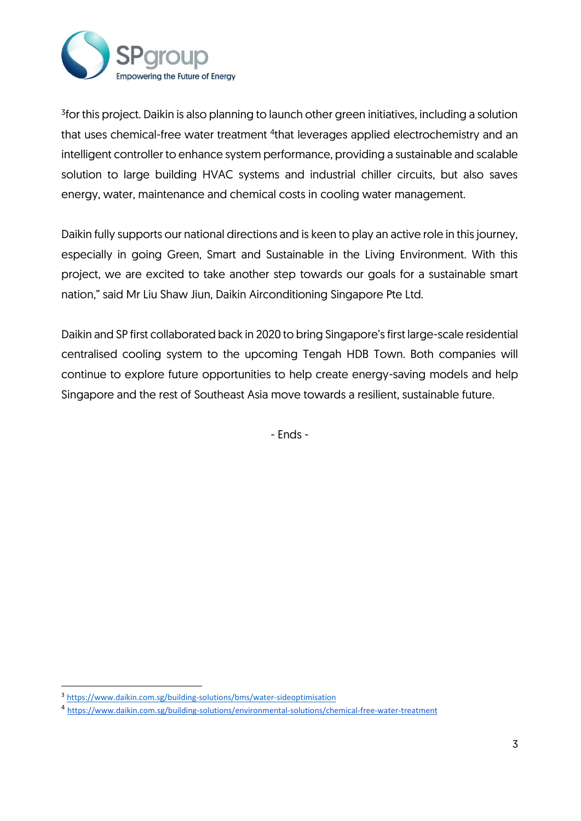

3 for this project. Daikin is also planning to launch other green initiatives, including a solution that uses chemical-free water treatment <sup>4</sup>that leverages applied electrochemistry and an intelligent controller to enhance system performance, providing a sustainable and scalable solution to large building HVAC systems and industrial chiller circuits, but also saves energy, water, maintenance and chemical costs in cooling water management.

Daikin fully supports our national directions and is keen to play an active role in this journey, especially in going Green, Smart and Sustainable in the Living Environment. With this project, we are excited to take another step towards our goals for a sustainable smart nation," said Mr Liu Shaw Jiun, Daikin Airconditioning Singapore Pte Ltd.

Daikin and SP first collaborated back in 2020 to bring Singapore's first large-scale residential centralised cooling system to the upcoming Tengah HDB Town. Both companies will continue to explore future opportunities to help create energy-saving models and help Singapore and the rest of Southeast Asia move towards a resilient, sustainable future.

- Ends -

<sup>3</sup> <https://www.daikin.com.sg/building-solutions/bms/water-sideoptimisation>

<sup>4</sup> <https://www.daikin.com.sg/building-solutions/environmental-solutions/chemical-free-water-treatment>